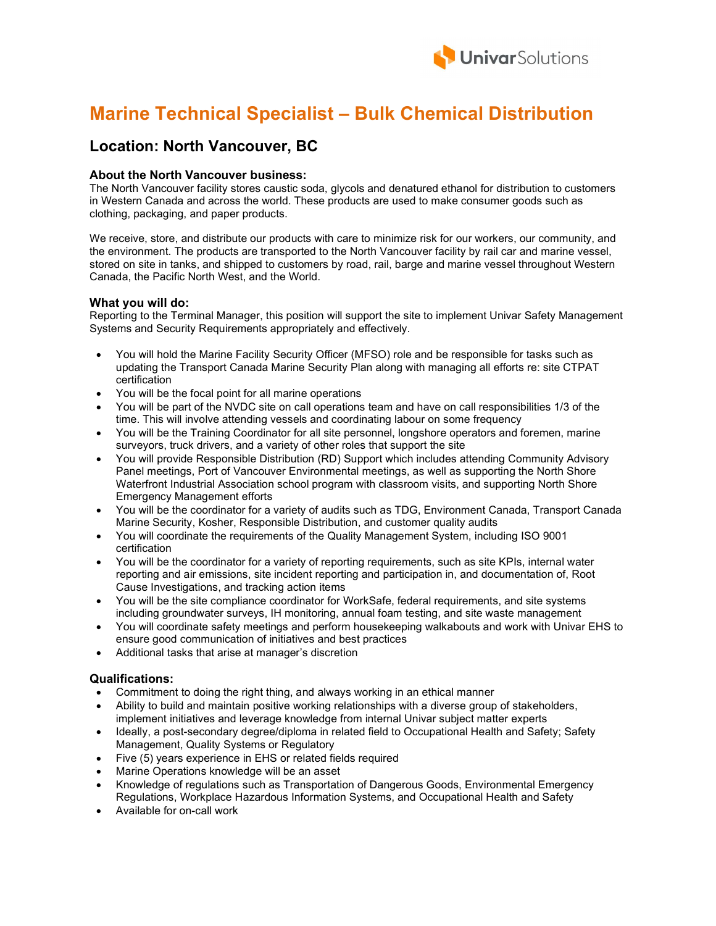

# Marine Technical Specialist – Bulk Chemical Distribution

### Location: North Vancouver, BC

#### About the North Vancouver business:

The North Vancouver facility stores caustic soda, glycols and denatured ethanol for distribution to customers in Western Canada and across the world. These products are used to make consumer goods such as clothing, packaging, and paper products.

 We receive, store, and distribute our products with care to minimize risk for our workers, our community, and the environment. The products are transported to the North Vancouver facility by rail car and marine vessel, stored on site in tanks, and shipped to customers by road, rail, barge and marine vessel throughout Western Canada, the Pacific North West, and the World.

#### What you will do:

Reporting to the Terminal Manager, this position will support the site to implement Univar Safety Management Systems and Security Requirements appropriately and effectively.

- You will hold the Marine Facility Security Officer (MFSO) role and be responsible for tasks such as updating the Transport Canada Marine Security Plan along with managing all efforts re: site CTPAT certification
- You will be the focal point for all marine operations
- You will be part of the NVDC site on call operations team and have on call responsibilities 1/3 of the time. This will involve attending vessels and coordinating labour on some frequency
- You will be the Training Coordinator for all site personnel, longshore operators and foremen, marine surveyors, truck drivers, and a variety of other roles that support the site
- You will provide Responsible Distribution (RD) Support which includes attending Community Advisory Panel meetings, Port of Vancouver Environmental meetings, as well as supporting the North Shore Waterfront Industrial Association school program with classroom visits, and supporting North Shore Emergency Management efforts
- You will be the coordinator for a variety of audits such as TDG, Environment Canada, Transport Canada Marine Security, Kosher, Responsible Distribution, and customer quality audits
- You will coordinate the requirements of the Quality Management System, including ISO 9001 certification
- You will be the coordinator for a variety of reporting requirements, such as site KPIs, internal water reporting and air emissions, site incident reporting and participation in, and documentation of, Root Cause Investigations, and tracking action items
- You will be the site compliance coordinator for WorkSafe, federal requirements, and site systems including groundwater surveys, IH monitoring, annual foam testing, and site waste management
- You will coordinate safety meetings and perform housekeeping walkabouts and work with Univar EHS to ensure good communication of initiatives and best practices
- Additional tasks that arise at manager's discretion

#### Qualifications:

- Commitment to doing the right thing, and always working in an ethical manner
- Ability to build and maintain positive working relationships with a diverse group of stakeholders, implement initiatives and leverage knowledge from internal Univar subject matter experts
- Ideally, a post-secondary degree/diploma in related field to Occupational Health and Safety; Safety Management, Quality Systems or Regulatory
- Five (5) years experience in EHS or related fields required
- Marine Operations knowledge will be an asset
- Knowledge of regulations such as Transportation of Dangerous Goods, Environmental Emergency Regulations, Workplace Hazardous Information Systems, and Occupational Health and Safety
- Available for on-call work